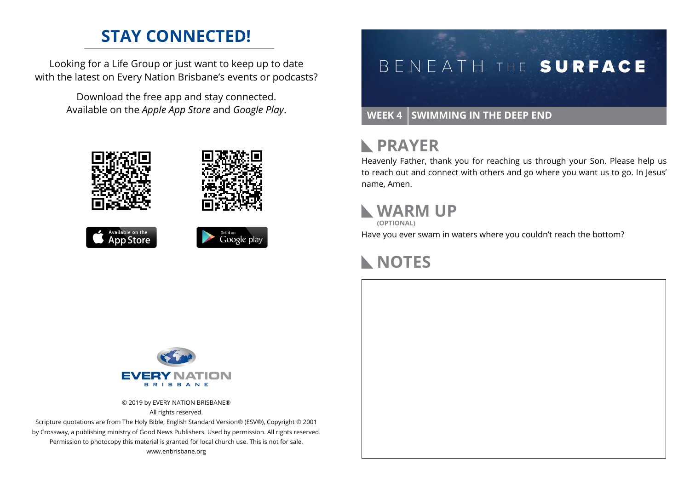## **STAY CONNECTED!**

Looking for a Life Group or just want to keep up to date with the latest on Every Nation Brisbane's events or podcasts?

> Download the free app and stay connected. Available on the *Apple App Store* and *Google Play*.





```
Available on the<br>App Store
```




#### **WEEK 4 SWIMMING IN THE DEEP END**

#### **RAYER**

Heavenly Father, thank you for reaching us through your Son. Please help us to reach out and connect with others and go where you want us to go. In Jesus' name, Amen.

## **WARM UP**

**(OPTIONAL)**

Have you ever swam in waters where you couldn't reach the bottom?

## **NOTES**



© 2019 by EVERY NATION BRISBANE® All rights reserved.

Scripture quotations are from The Holy Bible, English Standard Version® (ESV®), Copyright © 2001 by Crossway, a publishing ministry of Good News Publishers. Used by permission. All rights reserved. Permission to photocopy this material is granted for local church use. This is not for sale. www.enbrisbane.org